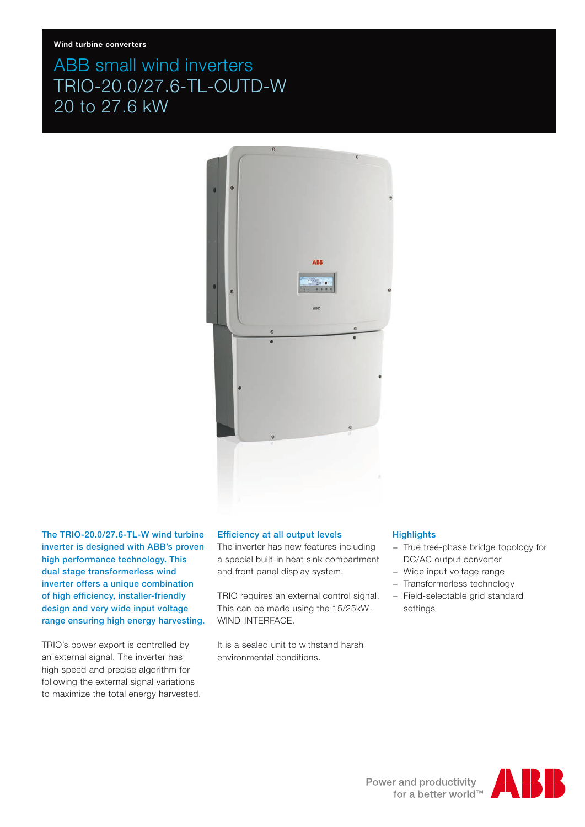# ABB small wind inverters TRIO-20.0/27.6-TL-OUTD-W 20 to 27.6 kW



The TRIO-20.0/27.6-TL-W wind turbine inverter is designed with ABB's proven high performance technology. This dual stage transformerless wind inverter offers a unique combination of high efficiency, installer-friendly design and very wide input voltage range ensuring high energy harvesting.

TRIO's power export is controlled by an external signal. The inverter has high speed and precise algorithm for following the external signal variations to maximize the total energy harvested.

## Efficiency at all output levels

The inverter has new features including a special built-in heat sink compartment and front panel display system.

TRIO requires an external control signal. This can be made using the 15/25kW-WIND-INTERFACE.

It is a sealed unit to withstand harsh environmental conditions.

#### **Highlights**

- − True tree-phase bridge topology for DC/AC output converter
- − Wide input voltage range
- − Transformerless technology
- − Field-selectable grid standard settings

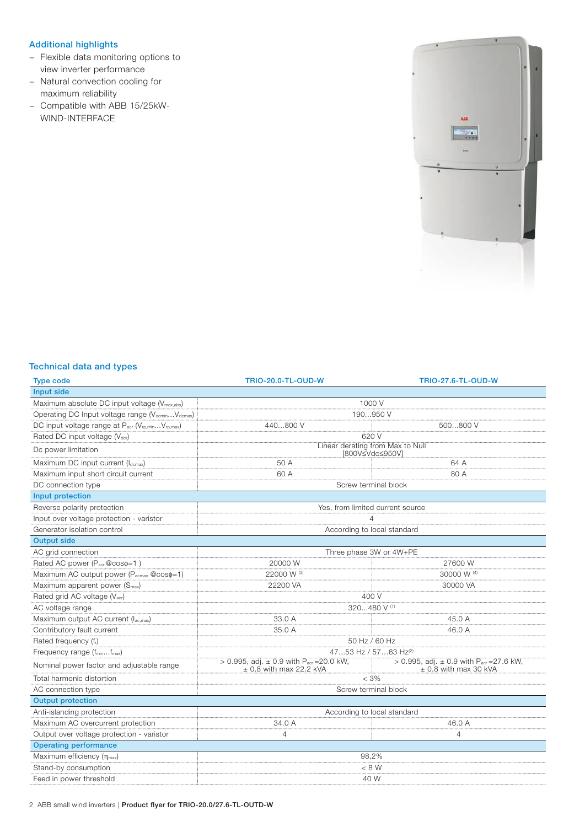# Additional highlights

- − Flexible data monitoring options to view inverter performance
- − Natural convection cooling for maximum reliability
- − Compatible with ABB 15/25kW-WIND-INTERFACE



# Technical data and types

| <b>Type code</b>                                          | <b>TRIO-20.0-TL-OUD-W</b>                                                               | <b>TRIO-27.6-TL-OUD-W</b>                                                             |
|-----------------------------------------------------------|-----------------------------------------------------------------------------------------|---------------------------------------------------------------------------------------|
| Input side                                                |                                                                                         |                                                                                       |
| Maximum absolute DC input voltage (V <sub>max.abs</sub> ) | 1000 V                                                                                  |                                                                                       |
| Operating DC Input voltage range (VdcminVdcmax)           | 190950 V                                                                                |                                                                                       |
| DC input voltage range at Pacr (Vrp,minVrp,max)           | 440800 V                                                                                | 500800 V                                                                              |
| Rated DC input voltage (Vdcr)                             | 620 V                                                                                   |                                                                                       |
| Dc power limitation                                       | Linear derating from Max to Null<br>[800V≤Vdc≤950V]                                     |                                                                                       |
| Maximum DC input current (Idcmax)                         | 50 A                                                                                    | 64 A                                                                                  |
| Maximum input short circuit current                       | 60 A                                                                                    | 80 A                                                                                  |
| DC connection type                                        | Screw terminal block                                                                    |                                                                                       |
| Input protection                                          |                                                                                         |                                                                                       |
| Reverse polarity protection                               | Yes, from limited current source                                                        |                                                                                       |
| Input over voltage protection - varistor                  | $\overline{4}$                                                                          |                                                                                       |
| Generator isolation control                               | According to local standard                                                             |                                                                                       |
| <b>Output side</b>                                        |                                                                                         |                                                                                       |
| AC grid connection                                        | Three phase 3W or 4W+PE                                                                 |                                                                                       |
| Rated AC power (P <sub>acr</sub> @coso=1)                 | 20000 W                                                                                 | 27600 W                                                                               |
| Maximum AC output power (Pacmax @coso=1)                  | 22000 W (3)                                                                             | 30000 W (4)                                                                           |
| Maximum apparent power (S <sub>max</sub> )                | 22200 VA                                                                                | 30000 VA                                                                              |
| Rated grid AC voltage (Vacr)                              | 400 V                                                                                   |                                                                                       |
| AC voltage range                                          | 320480 V (1)                                                                            |                                                                                       |
| Maximum output AC current (lac,max)                       | 33.0 A                                                                                  | 45.0 A                                                                                |
| Contributory fault current                                | 35.0 A                                                                                  | 46.0 A                                                                                |
| Rated frequency (fr)                                      | 50 Hz / 60 Hz                                                                           |                                                                                       |
| Frequency range (fminfmax)                                | 4753 Hz / 5763 Hz(2)                                                                    |                                                                                       |
| Nominal power factor and adjustable range                 | > 0.995, adj. $\pm$ 0.9 with P <sub>acr</sub> = 20.0 kW,<br>$\pm$ 0.8 with max 22.2 kVA | > 0.995, adj. $\pm$ 0.9 with P <sub>acr</sub> = 27.6 kW,<br>$\pm$ 0.8 with max 30 kVA |
| Total harmonic distortion                                 | $< 3\%$                                                                                 |                                                                                       |
| AC connection type                                        | Screw terminal block                                                                    |                                                                                       |
| <b>Output protection</b>                                  |                                                                                         |                                                                                       |
| Anti-islanding protection                                 | According to local standard                                                             |                                                                                       |
| Maximum AC overcurrent protection                         | 34.0 A                                                                                  | 46.0 A                                                                                |
| Output over voltage protection - varistor                 | 4                                                                                       | 4                                                                                     |
| <b>Operating performance</b>                              |                                                                                         |                                                                                       |
| Maximum efficiency $(\eta_{max})$                         | 98,2%                                                                                   |                                                                                       |
| Stand-by consumption                                      | < 8 W                                                                                   |                                                                                       |
| Feed in power threshold                                   | 40 W                                                                                    |                                                                                       |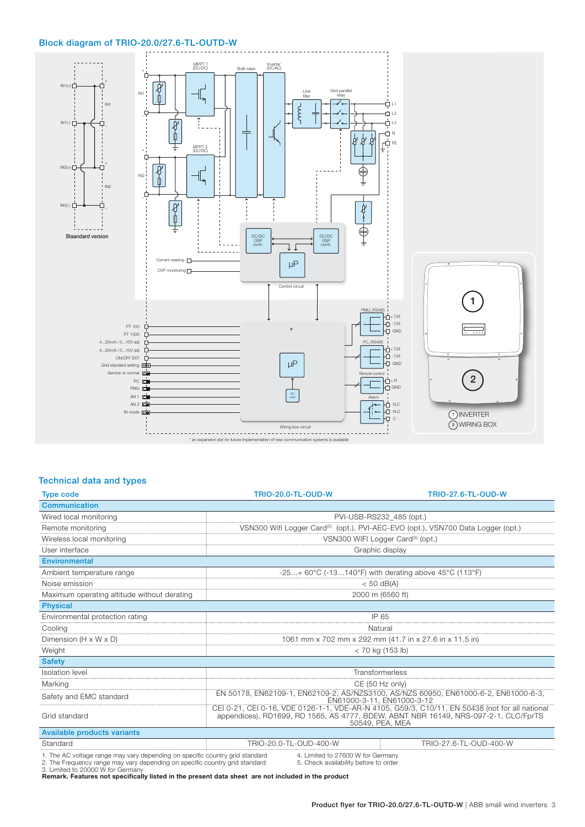### Block diagram of TRIO-20.0/27.6-TL-OUTD-W



## Technical data and types

| <b>Type code</b>                                                            | <b>TRIO-20.0-TL-OUD-W</b>                                                                                                                                                                                | <b>TRIO-27.6-TL-OUD-W</b> |
|-----------------------------------------------------------------------------|----------------------------------------------------------------------------------------------------------------------------------------------------------------------------------------------------------|---------------------------|
| <b>Communication</b>                                                        |                                                                                                                                                                                                          |                           |
| Wired local monitoring                                                      | PVI-USB-RS232 485 (opt.)                                                                                                                                                                                 |                           |
| Remote monitoring                                                           | VSN300 Wifi Logger Card <sup>(5)</sup> (opt.), PVI-AEC-EVO (opt.), VSN700 Data Logger (opt.)                                                                                                             |                           |
| Wireless local monitoring                                                   | VSN300 WIFI Logger Card <sup>(5)</sup> (opt.)                                                                                                                                                            |                           |
| User interface                                                              | Graphic display                                                                                                                                                                                          |                           |
| <b>Environmental</b>                                                        |                                                                                                                                                                                                          |                           |
| Ambient temperature range                                                   | $-25+60^{\circ}C$ (-13140°F) with derating above 45°C (113°F)                                                                                                                                            |                           |
| Noise emission                                                              | $<$ 50 dB(A)                                                                                                                                                                                             |                           |
| Maximum operating altitude without derating                                 | 2000 m (6560 ft)                                                                                                                                                                                         |                           |
| <b>Physical</b>                                                             |                                                                                                                                                                                                          |                           |
| Environmental protection rating                                             | IP 65                                                                                                                                                                                                    |                           |
| Cooling                                                                     | Natural                                                                                                                                                                                                  |                           |
| Dimension (H x W x D)                                                       | 1061 mm x 702 mm x 292 mm (41.7 in x 27.6 in x 11.5 in)                                                                                                                                                  |                           |
| Weight                                                                      | $<$ 70 kg (153 lb)                                                                                                                                                                                       |                           |
| <b>Safety</b>                                                               |                                                                                                                                                                                                          |                           |
| <b>Isolation</b> level                                                      | Transformerless                                                                                                                                                                                          |                           |
| Marking                                                                     | CE (50 Hz only)                                                                                                                                                                                          |                           |
| Safety and EMC standard                                                     | EN 50178, EN62109-1, EN62109-2, AS/NZS3100, AS/NZS 60950, EN61000-6-2, EN61000-6-3,<br>EN61000-3-11, EN61000-3-12                                                                                        |                           |
| Grid standard                                                               | CEI 0-21, CEI 0-16, VDE 0126-1-1, VDE-AR-N 4105, G59/3, C10/11, EN 50438 (not for all national<br>appendices), RD1699, RD 1565, AS 4777, BDEW, ABNT NBR 16149, NRS-097-2-1, CLC/FprTS<br>50549, PEA, MEA |                           |
| Available products variants                                                 |                                                                                                                                                                                                          |                           |
| Standard                                                                    | TRIO-20.0-TL-OUD-400-W                                                                                                                                                                                   | TRIO-27.6-TL-OUD-400-W    |
| 1 The AC veltage range may vary depending on specific country arid standard | 1 Limited to 27600 W for Cermany                                                                                                                                                                         |                           |

1. The AC voltage range may vary depending on specific country grid standard 4. Limited to 27600 W for Germany<br>2. The Frequency range may vary depending on specific country grid standard 5. Check availability bef

**Remark. Features not specifically listed in the present data sheet are not included in the product**

Product flyer for TRIO-20.0/27.6-TL-OUTD-W | ABB small wind inverters 3